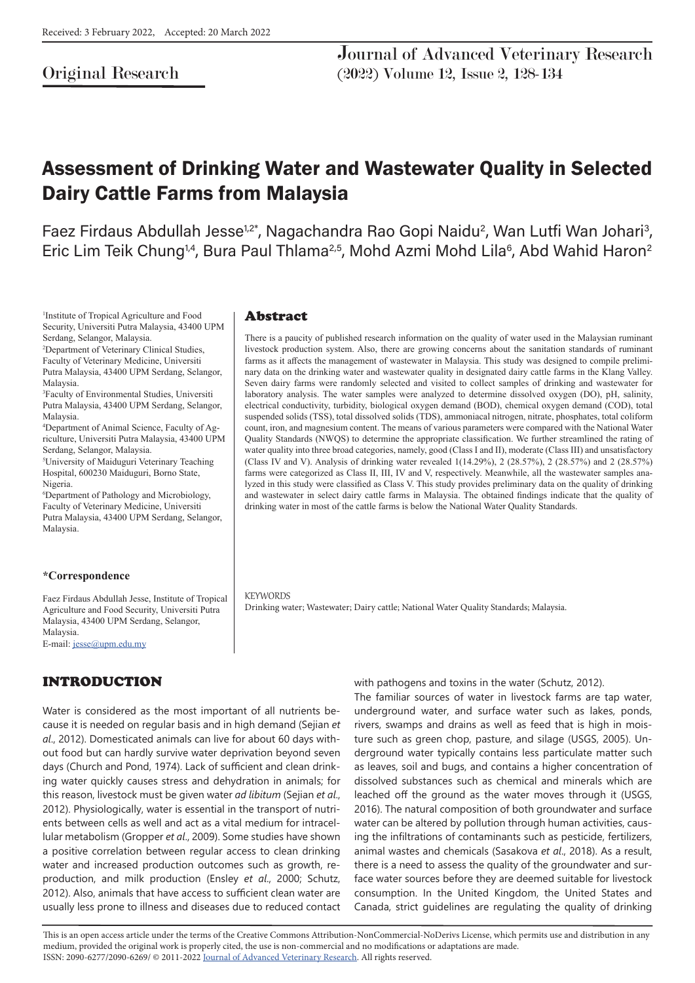# Original Research

Journal of Advanced Veterinary Research (2022) Volume 12, Issue 2, 128-134

# Assessment of Drinking Water and Wastewater Quality in Selected Dairy Cattle Farms from Malaysia

Faez Firdaus Abdullah Jesse<sup>1,2\*</sup>, Nagachandra Rao Gopi Naidu<sup>2</sup>, Wan Lutfi Wan Johari<sup>3</sup>, Eric Lim Teik Chung<sup>1,4</sup>, Bura Paul Thlama<sup>2,5</sup>, Mohd Azmi Mohd Lila<sup>6</sup>, Abd Wahid Haron<sup>2</sup>

1 Institute of Tropical Agriculture and Food Security, Universiti Putra Malaysia, 43400 UPM Serdang, Selangor, Malaysia.

2 Department of Veterinary Clinical Studies, Faculty of Veterinary Medicine, Universiti Putra Malaysia, 43400 UPM Serdang, Selangor, Malaysia.

3 Faculty of Environmental Studies, Universiti Putra Malaysia, 43400 UPM Serdang, Selangor, Malaysia.

4 Department of Animal Science, Faculty of Agriculture, Universiti Putra Malaysia, 43400 UPM Serdang, Selangor, Malaysia.

5 University of Maiduguri Veterinary Teaching Hospital, 600230 Maiduguri, Borno State, Nigeria.

6 Department of Pathology and Microbiology, Faculty of Veterinary Medicine, Universiti Putra Malaysia, 43400 UPM Serdang, Selangor, Malaysia.

#### **\*Correspondence**

Faez Firdaus Abdullah Jesse, Institute of Tropical Agriculture and Food Security, Universiti Putra Malaysia, 43400 UPM Serdang, Selangor, Malaysia. E-mail: jesse@upm.edu.my

# INTRODUCTION

Water is considered as the most important of all nutrients because it is needed on regular basis and in high demand (Sejian *et al*., 2012). Domesticated animals can live for about 60 days without food but can hardly survive water deprivation beyond seven days (Church and Pond, 1974). Lack of sufficient and clean drinking water quickly causes stress and dehydration in animals; for this reason, livestock must be given water *ad libitum* (Sejian *et al*., 2012). Physiologically, water is essential in the transport of nutrients between cells as well and act as a vital medium for intracellular metabolism (Gropper *et al*., 2009). Some studies have shown a positive correlation between regular access to clean drinking water and increased production outcomes such as growth, reproduction, and milk production (Ensley *et al*., 2000; Schutz, 2012). Also, animals that have access to sufficient clean water are usually less prone to illness and diseases due to reduced contact

### Abstract

There is a paucity of published research information on the quality of water used in the Malaysian ruminant livestock production system. Also, there are growing concerns about the sanitation standards of ruminant farms as it affects the management of wastewater in Malaysia. This study was designed to compile preliminary data on the drinking water and wastewater quality in designated dairy cattle farms in the Klang Valley. Seven dairy farms were randomly selected and visited to collect samples of drinking and wastewater for laboratory analysis. The water samples were analyzed to determine dissolved oxygen (DO), pH, salinity, electrical conductivity, turbidity, biological oxygen demand (BOD), chemical oxygen demand (COD), total suspended solids (TSS), total dissolved solids (TDS), ammoniacal nitrogen, nitrate, phosphates, total coliform count, iron, and magnesium content. The means of various parameters were compared with the National Water Quality Standards (NWQS) to determine the appropriate classification. We further streamlined the rating of water quality into three broad categories, namely, good (Class I and II), moderate (Class III) and unsatisfactory (Class IV and V). Analysis of drinking water revealed 1(14.29%), 2 (28.57%), 2 (28.57%) and 2 (28.57%) farms were categorized as Class II, III, IV and V, respectively. Meanwhile, all the wastewater samples analyzed in this study were classified as Class V. This study provides preliminary data on the quality of drinking and wastewater in select dairy cattle farms in Malaysia. The obtained findings indicate that the quality of drinking water in most of the cattle farms is below the National Water Quality Standards.

**KEYWORDS** Drinking water; Wastewater; Dairy cattle; National Water Quality Standards; Malaysia.

with pathogens and toxins in the water (Schutz, 2012).

The familiar sources of water in livestock farms are tap water, underground water, and surface water such as lakes, ponds, rivers, swamps and drains as well as feed that is high in moisture such as green chop, pasture, and silage (USGS, 2005). Underground water typically contains less particulate matter such as leaves, soil and bugs, and contains a higher concentration of dissolved substances such as chemical and minerals which are leached off the ground as the water moves through it (USGS, 2016). The natural composition of both groundwater and surface water can be altered by pollution through human activities, causing the infiltrations of contaminants such as pesticide, fertilizers, animal wastes and chemicals (Sasakova *et al*., 2018). As a result, there is a need to assess the quality of the groundwater and surface water sources before they are deemed suitable for livestock consumption. In the United Kingdom, the United States and Canada, strict guidelines are regulating the quality of drinking

This is an open access article under the terms of the Creative Commons Attribution-NonCommercial-NoDerivs License, which permits use and distribution in any medium, provided the original work is properly cited, the use is non-commercial and no modifications or adaptations are made. ISSN: 2090-6277/2090-6269/ © 2011-2022 Journal of Advanced Veterinary Research. All rights reserved.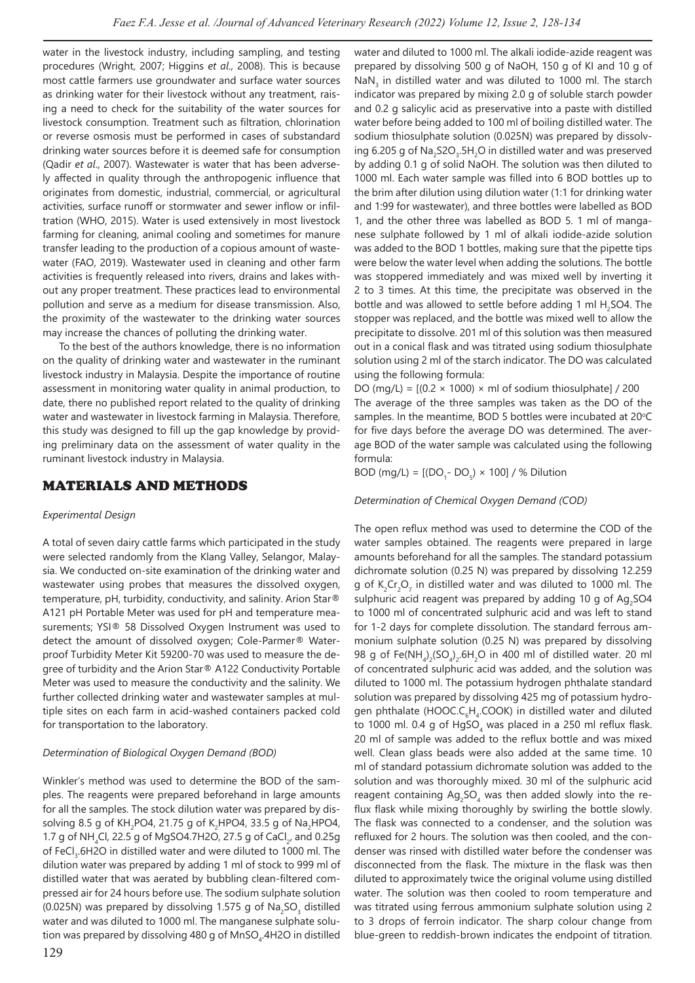water in the livestock industry, including sampling, and testing procedures (Wright, 2007; Higgins *et al*., 2008). This is because most cattle farmers use groundwater and surface water sources as drinking water for their livestock without any treatment, raising a need to check for the suitability of the water sources for livestock consumption. Treatment such as filtration, chlorination or reverse osmosis must be performed in cases of substandard drinking water sources before it is deemed safe for consumption (Qadir *et al*., 2007). Wastewater is water that has been adversely affected in quality through the anthropogenic influence that originates from domestic, industrial, commercial, or agricultural activities, surface runoff or stormwater and sewer inflow or infiltration (WHO, 2015). Water is used extensively in most livestock farming for cleaning, animal cooling and sometimes for manure transfer leading to the production of a copious amount of wastewater (FAO, 2019). Wastewater used in cleaning and other farm activities is frequently released into rivers, drains and lakes without any proper treatment. These practices lead to environmental pollution and serve as a medium for disease transmission. Also, the proximity of the wastewater to the drinking water sources may increase the chances of polluting the drinking water.

To the best of the authors knowledge, there is no information on the quality of drinking water and wastewater in the ruminant livestock industry in Malaysia. Despite the importance of routine assessment in monitoring water quality in animal production, to date, there no published report related to the quality of drinking water and wastewater in livestock farming in Malaysia. Therefore, this study was designed to fill up the gap knowledge by providing preliminary data on the assessment of water quality in the ruminant livestock industry in Malaysia.

### MATERIALS AND METHODS

#### *Experimental Design*

A total of seven dairy cattle farms which participated in the study were selected randomly from the Klang Valley, Selangor, Malaysia. We conducted on-site examination of the drinking water and wastewater using probes that measures the dissolved oxygen, temperature, pH, turbidity, conductivity, and salinity. Arion Star® A121 pH Portable Meter was used for pH and temperature measurements; YSI® 58 Dissolved Oxygen Instrument was used to detect the amount of dissolved oxygen; Cole-Parmer® Waterproof Turbidity Meter Kit 59200-70 was used to measure the degree of turbidity and the Arion Star® A122 Conductivity Portable Meter was used to measure the conductivity and the salinity. We further collected drinking water and wastewater samples at multiple sites on each farm in acid-washed containers packed cold for transportation to the laboratory.

#### *Determination of Biological Oxygen Demand (BOD)*

Winkler's method was used to determine the BOD of the samples. The reagents were prepared beforehand in large amounts for all the samples. The stock dilution water was prepared by dissolving 8.5 g of KH<sub>2</sub>PO4, 21.75 g of K<sub>2</sub>HPO4, 33.5 g of Na<sub>2</sub>HPO4, 1.7 g of NH $_{\textrm{4}}$ Cl, 22.5 g of MgSO4.7H2O, 27.5 g of CaCl $_{\textrm{\tiny{2}}}$ , and 0.25g of FeCl<sub>3</sub>.6H2O in distilled water and were diluted to 1000 ml. The dilution water was prepared by adding 1 ml of stock to 999 ml of distilled water that was aerated by bubbling clean-filtered compressed air for 24 hours before use. The sodium sulphate solution (0.025N) was prepared by dissolving 1.575 g of  $\textsf{Na}_2\textsf{SO}_3$  distilled water and was diluted to 1000 ml. The manganese sulphate solution was prepared by dissolving 480 g of MnSO $_{\textrm{\tiny{4}}}$ .4H2O in distilled water and diluted to 1000 ml. The alkali iodide-azide reagent was prepared by dissolving 500 g of NaOH, 150 g of KI and 10 g of  $\textsf{NaN}_3$  in distilled water and was diluted to 1000 ml. The starch indicator was prepared by mixing 2.0 g of soluble starch powder and 0.2 g salicylic acid as preservative into a paste with distilled water before being added to 100 ml of boiling distilled water. The sodium thiosulphate solution (0.025N) was prepared by dissolving 6.205 g of  $\text{Na}_2\text{S2O}_3\text{.}5\text{H}_2\text{O}$  in distilled water and was preserved by adding 0.1 g of solid NaOH. The solution was then diluted to 1000 ml. Each water sample was filled into 6 BOD bottles up to the brim after dilution using dilution water (1:1 for drinking water and 1:99 for wastewater), and three bottles were labelled as BOD 1, and the other three was labelled as BOD 5. 1 ml of manganese sulphate followed by 1 ml of alkali iodide-azide solution was added to the BOD 1 bottles, making sure that the pipette tips were below the water level when adding the solutions. The bottle was stoppered immediately and was mixed well by inverting it 2 to 3 times. At this time, the precipitate was observed in the bottle and was allowed to settle before adding 1 ml  $H_2$ SO4. The stopper was replaced, and the bottle was mixed well to allow the precipitate to dissolve. 201 ml of this solution was then measured out in a conical flask and was titrated using sodium thiosulphate solution using 2 ml of the starch indicator. The DO was calculated using the following formula:

DO (mg/L) =  $[(0.2 \times 1000) \times m]$  of sodium thiosulphate] / 200 The average of the three samples was taken as the DO of the samples. In the meantime, BOD 5 bottles were incubated at  $20^{\circ}$ C for five days before the average DO was determined. The average BOD of the water sample was calculated using the following formula:

BOD (mg/L) =  $[ (DO<sub>1</sub> - DO<sub>5</sub>) \times 100 ] / %$  Dilution

#### *Determination of Chemical Oxygen Demand (COD)*

The open reflux method was used to determine the COD of the water samples obtained. The reagents were prepared in large amounts beforehand for all the samples. The standard potassium dichromate solution (0.25 N) was prepared by dissolving 12.259 g of  $K_2Cr_2O_7$  in distilled water and was diluted to 1000 ml. The sulphuric acid reagent was prepared by adding 10 g of  $Ag_2SO4$ to 1000 ml of concentrated sulphuric acid and was left to stand for 1-2 days for complete dissolution. The standard ferrous ammonium sulphate solution (0.25 N) was prepared by dissolving 98 g of Fe(NH $_4$ )<sub>2</sub>(SO<sub>4</sub>)<sub>2</sub>.6H<sub>2</sub>O in 400 ml of distilled water. 20 ml of concentrated sulphuric acid was added, and the solution was diluted to 1000 ml. The potassium hydrogen phthalate standard solution was prepared by dissolving 425 mg of potassium hydrogen phthalate (HOOC.C<sub>6</sub>H<sub>4</sub>.COOK) in distilled water and diluted to 1000 ml. 0.4 g of  $HgSO<sub>4</sub>$  was placed in a 250 ml reflux flask. 20 ml of sample was added to the reflux bottle and was mixed well. Clean glass beads were also added at the same time. 10 ml of standard potassium dichromate solution was added to the solution and was thoroughly mixed. 30 ml of the sulphuric acid reagent containing  $Ag_2SO_4$  was then added slowly into the reflux flask while mixing thoroughly by swirling the bottle slowly. The flask was connected to a condenser, and the solution was refluxed for 2 hours. The solution was then cooled, and the condenser was rinsed with distilled water before the condenser was disconnected from the flask. The mixture in the flask was then diluted to approximately twice the original volume using distilled water. The solution was then cooled to room temperature and was titrated using ferrous ammonium sulphate solution using 2 to 3 drops of ferroin indicator. The sharp colour change from blue-green to reddish-brown indicates the endpoint of titration.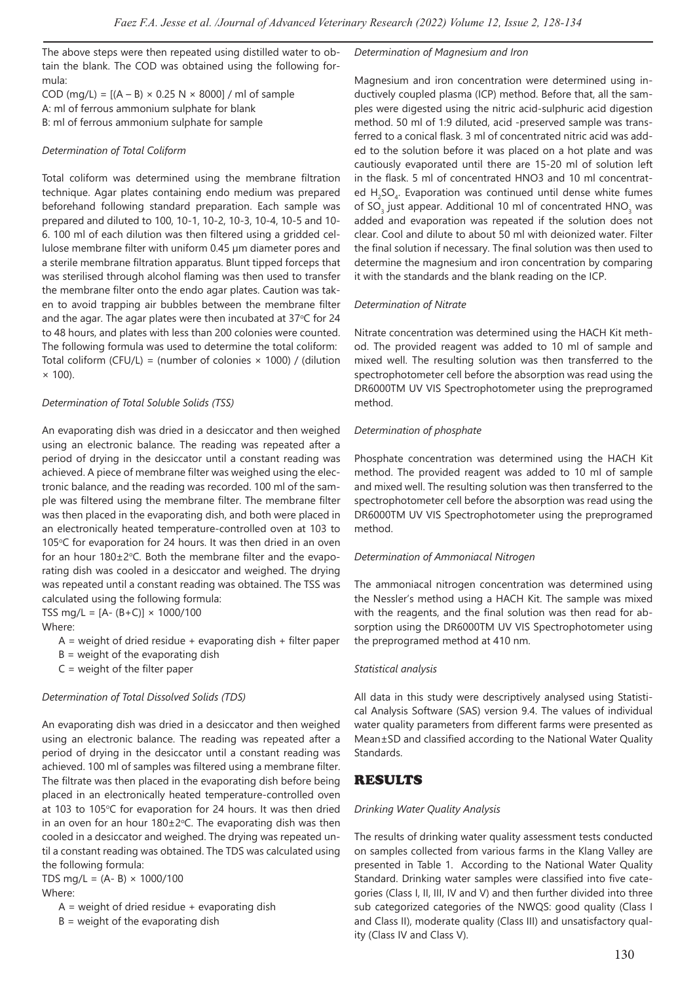The above steps were then repeated using distilled water to obtain the blank. The COD was obtained using the following formula:

COD (mg/L) =  $[(A - B) \times 0.25 N \times 8000]$  / ml of sample A: ml of ferrous ammonium sulphate for blank B: ml of ferrous ammonium sulphate for sample

#### *Determination of Total Coliform*

Total coliform was determined using the membrane filtration technique. Agar plates containing endo medium was prepared beforehand following standard preparation. Each sample was prepared and diluted to 100, 10-1, 10-2, 10-3, 10-4, 10-5 and 10- 6. 100 ml of each dilution was then filtered using a gridded cellulose membrane filter with uniform 0.45 µm diameter pores and a sterile membrane filtration apparatus. Blunt tipped forceps that was sterilised through alcohol flaming was then used to transfer the membrane filter onto the endo agar plates. Caution was taken to avoid trapping air bubbles between the membrane filter and the agar. The agar plates were then incubated at  $37^{\circ}$ C for 24 to 48 hours, and plates with less than 200 colonies were counted. The following formula was used to determine the total coliform: Total coliform (CFU/L) = (number of colonies  $\times$  1000) / (dilution  $\times$  100).

#### *Determination of Total Soluble Solids (TSS)*

An evaporating dish was dried in a desiccator and then weighed using an electronic balance. The reading was repeated after a period of drying in the desiccator until a constant reading was achieved. A piece of membrane filter was weighed using the electronic balance, and the reading was recorded. 100 ml of the sample was filtered using the membrane filter. The membrane filter was then placed in the evaporating dish, and both were placed in an electronically heated temperature-controlled oven at 103 to 105°C for evaporation for 24 hours. It was then dried in an oven for an hour  $180\pm2^{\circ}$ C. Both the membrane filter and the evaporating dish was cooled in a desiccator and weighed. The drying was repeated until a constant reading was obtained. The TSS was calculated using the following formula: TSS mg/L =  $[A - (B + C)] \times 1000/100$ 

Where:

- $A =$  weight of dried residue + evaporating dish + filter paper
- $B =$  weight of the evaporating dish
- $C$  = weight of the filter paper

#### *Determination of Total Dissolved Solids (TDS)*

An evaporating dish was dried in a desiccator and then weighed using an electronic balance. The reading was repeated after a period of drying in the desiccator until a constant reading was achieved. 100 ml of samples was filtered using a membrane filter. The filtrate was then placed in the evaporating dish before being placed in an electronically heated temperature-controlled oven at 103 to 105°C for evaporation for 24 hours. It was then dried in an oven for an hour  $180 \pm 2^{\circ}$ C. The evaporating dish was then cooled in a desiccator and weighed. The drying was repeated until a constant reading was obtained. The TDS was calculated using the following formula:

TDS mg/L =  $(A - B) \times 1000/100$ Where:

- $A =$  weight of dried residue  $+$  evaporating dish
- $B =$  weight of the evaporating dish

*Determination of Magnesium and Iron*

Magnesium and iron concentration were determined using inductively coupled plasma (ICP) method. Before that, all the samples were digested using the nitric acid-sulphuric acid digestion method. 50 ml of 1:9 diluted, acid -preserved sample was transferred to a conical flask. 3 ml of concentrated nitric acid was added to the solution before it was placed on a hot plate and was cautiously evaporated until there are 15-20 ml of solution left in the flask. 5 ml of concentrated HNO3 and 10 ml concentrated  $H_2$ SO<sub>4</sub>. Evaporation was continued until dense white fumes of SO<sub>3</sub> just appear. Additional 10 ml of concentrated  $HNO<sub>3</sub>$  was added and evaporation was repeated if the solution does not clear. Cool and dilute to about 50 ml with deionized water. Filter the final solution if necessary. The final solution was then used to determine the magnesium and iron concentration by comparing it with the standards and the blank reading on the ICP.

#### *Determination of Nitrate*

Nitrate concentration was determined using the HACH Kit method. The provided reagent was added to 10 ml of sample and mixed well. The resulting solution was then transferred to the spectrophotometer cell before the absorption was read using the DR6000TM UV VIS Spectrophotometer using the preprogramed method.

#### *Determination of phosphate*

Phosphate concentration was determined using the HACH Kit method. The provided reagent was added to 10 ml of sample and mixed well. The resulting solution was then transferred to the spectrophotometer cell before the absorption was read using the DR6000TM UV VIS Spectrophotometer using the preprogramed method.

#### *Determination of Ammoniacal Nitrogen*

The ammoniacal nitrogen concentration was determined using the Nessler's method using a HACH Kit. The sample was mixed with the reagents, and the final solution was then read for absorption using the DR6000TM UV VIS Spectrophotometer using the preprogramed method at 410 nm.

#### *Statistical analysis*

All data in this study were descriptively analysed using Statistical Analysis Software (SAS) version 9.4. The values of individual water quality parameters from different farms were presented as Mean±SD and classified according to the National Water Quality **Standards** 

### RESULTS

#### *Drinking Water Quality Analysis*

The results of drinking water quality assessment tests conducted on samples collected from various farms in the Klang Valley are presented in Table 1. According to the National Water Quality Standard. Drinking water samples were classified into five categories (Class I, II, III, IV and V) and then further divided into three sub categorized categories of the NWQS: good quality (Class I and Class II), moderate quality (Class III) and unsatisfactory quality (Class IV and Class V).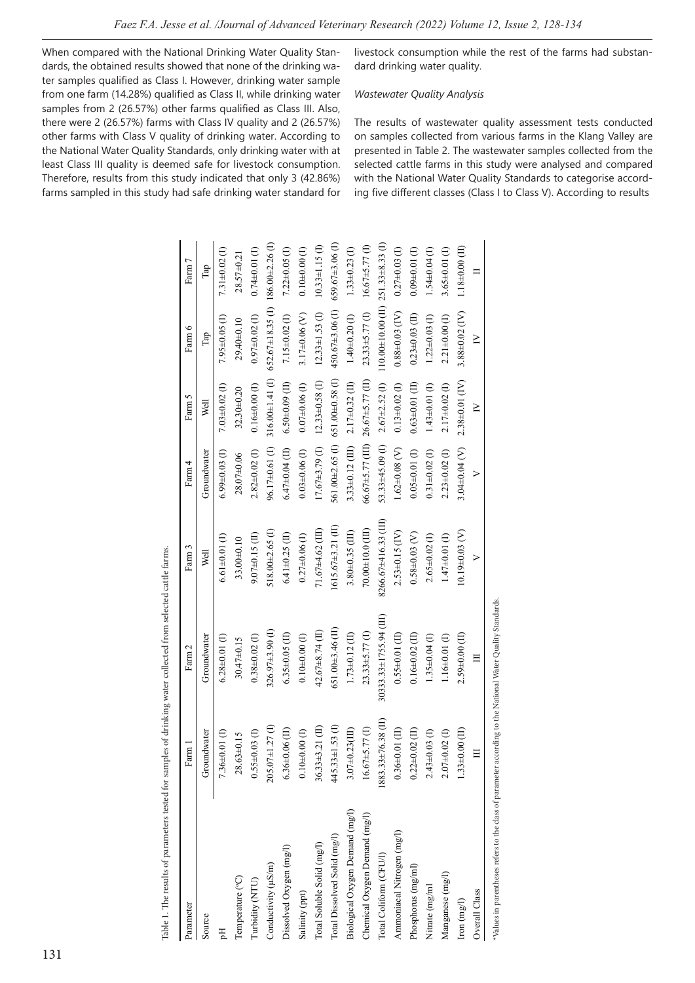When compared with the National Drinking Water Quality Standards, the obtained results showed that none of the drinking water samples qualified as Class I. However, drinking water sample from one farm (14.28%) qualified as Class II, while drinking water samples from 2 (26.57%) other farms qualified as Class III. Also, there were 2 (26.57%) farms with Class IV quality and 2 (26.57%) other farms with Class V quality of drinking water. According to the National Water Quality Standards, only drinking water with at least Class III quality is deemed safe for livestock consumption. Therefore, results from this study indicated that only 3 (42.86%) farms sampled in this study had safe drinking water standard for

livestock consumption while the rest of the farms had substandard drinking water quality.

### *Wastewater Quality Analysis*

The results of wastewater quality assessment tests conducted on samples collected from various farms in the Klang Valley are presented in Table 2. The wastewater samples collected from the selected cattle farms in this study were analysed and compared with the National Water Quality Standards to categorise according five different classes (Class I to Class V). According to results

| Source<br>딩                     |                       | Farm 2                 | Farm 3                | Farm 4                           | Farm 5                | Farm 6                                        | Farm 7               |
|---------------------------------|-----------------------|------------------------|-----------------------|----------------------------------|-----------------------|-----------------------------------------------|----------------------|
|                                 | Groundwater           | Groundwater            | Well                  | Groundwater                      | Well                  | Tap                                           | Tap                  |
|                                 | $7.36\pm0.01$ (I)     | $6.28 \pm 0.01$ (I)    | $6.61 + 0.01$ (I)     | $6.99\pm0.03$ (I)                | $7.03 + 0.02$ (I)     | $7.95 + 0.05$ (I)                             | $7.31 + 0.02$ (I)    |
| Temperature (°C)                | $28.63\pm0.15$        | $30.47 + 0.15$         | 33.00±0.10            | 28.07±0.06                       | 32.30±0.20            | 29.40±0.10                                    | 28.57±0.21           |
| Turbidity (NTU)                 | $0.55 \pm 0.03$ (I)   | $0.38 + 0.02$ (I)      | $9.07 + 0.15$ (II)    | $2.82\pm0.02$ (I)                | $0.16 + 0.00$ (I)     | $0.97 + 0.02$ (I)                             | $0.74 \pm 0.01$ (I)  |
| Conductivity (µS/m)             | $205.07\pm1.27$ (I)   | $326.97\pm3.90$ (I)    | 518.00±2.65(I)        | 96.17±0.61 (I)                   | $316.00 \pm 1.41$ (I) | 652.67±18.35 (I) 186.00±2.26 (I)              |                      |
| Dissolved Oxygen (mg/l)         | $6.36\pm0.06$ (II)    | $6.35 \pm 0.05$ (II)   | $6.41 \pm 0.25$ (II)  | $6.47\pm0.04$ (II)               | $6.50\pm0.09$ (II)    | $7.15 \pm 0.02$ (I)                           | $7.22\pm0.05$ (I)    |
| Salinity (ppt)                  | $0.10 + 0.00$ (I)     | $0.10+0.00$ (I)        | $0.27 + 0.06$ (I)     | $0.03 + 0.06$ (I)                | $0.07 + 0.06$ (I)     | $3.17 + 0.06$ (V)                             | $0.10 + 0.00$ (I)    |
| Total Soluble Solid (mg/l)      | $36.33 \pm 3.21$ (II) | 42.67±8.74 (II)        | $71.67\pm4.62$ (III)  | $17.67 + 3.79$ (I)               | $12.33\pm0.58$ (I)    | $12.33 \pm 1.53$ (I)                          | $10.33 \pm 1.15$ (I) |
| Total Dissolved Solid (mg/l)    | $445.33 \pm 1.53$ (I) | 651.00±3.46 (II)       | $1615.67\pm3.21$ (II) | 561.00±2.65(I)                   | $651.00 \pm 0.58$ (I) | 450.67±3.06 (I)                               | $659.67\pm3.06$ (I)  |
| Biological Oxygen Demand (mg/l) | $3.07 + 0.23$ (III)   | $1.73 \pm 0.12$ (II)   | $3.80\pm0.35$ (III)   | $3.33\pm0.12$ (III)              | $2.17\pm0.32$ (II)    | $1.40 + 0.20$ (I)                             | $1.33 + 0.23$ (I)    |
| Chemical Oxygen Demand (mg/l)   | $16.67 + 5.77$ (I)    | $23.33\pm5.77$ (I)     | $70.00\pm10.0$ (III)  | 66.67±5.77 (III) 26.67±5.77 (II) |                       | $23.33\pm5.77$ (I)                            | $16.67\pm5.77$ (I)   |
| Total Coliform (CFU/l)          | $(1883.33 \pm 76.38)$ | 30333.33±1755.94 (III) | 8266.67±416.33 (III)  | 53.33±45.09 (I)                  | $2.67 \pm 2.52$ (I)   | 110.00 $\pm$ 10.00 (II) 251.33 $\pm$ 8.33 (I) |                      |
| Ammoniacal Nitrogen (mg/l)      | $0.36\pm0.01$ (II)    | $0.55 \pm 0.01$ (II)   | $2.53\pm0.15$ (IV)    | $1.62 \pm 0.08$ (V)              | $0.13 + 0.02$ (I)     | $0.88 + 0.03$ (IV)                            | $0.27 + 0.03$ (I)    |
| Phosphorus (mg/ml)              | $0.22\pm0.02$ (II)    | $0.16 \pm 0.02$ (II)   | $0.58 + 0.03$ (V)     | $0.05 \pm 0.01$ (I)              | $0.63 \pm 0.01$ (II)  | $0.23\pm0.03$ (II)                            | $0.09 + 0.01$ (I)    |
| Nitrate (mg/ml                  | $2.43\pm0.03$ (I)     | $1.35 \pm 0.04$ (I)    | $2.65\pm0.02$ (I)     | $0.31 + 0.02$ (I)                | $1.43\pm0.01$ (I)     | $1.22 \pm 0.03$ (I)                           | $1.54 \pm 0.04$ (I)  |
| Manganese (mg/l)                | $2.07 + 0.02$ (I)     | $1.16 \pm 0.01$ (I)    | $1.47+0.01$ (I)       | $2.23 + 0.02$ (I)                | $2.17 + 0.02$ (I)     | $2.21\pm0.00$ (I)                             | $3.65 \pm 0.01$ (I)  |
| $\mbox{Iron}\ (\mbox{mg/l})$    | $1.33\pm0.00$ (II)    | $2.59\pm0.00$ (II)     | $10.19 + 0.03$ (V)    | $3.04 \pm 0.04$ (V)              | 2.38±0.01 (IV)        | $3.88 + 0.02$ (IV)                            | $1.18 + 0.00$ (II)   |
| Overall Class                   | $\equiv$              | Ξ                      | $\geq$                | $\geq$                           | $\geq$                | $\geq$                                        |                      |

Table 1. The results of parameters tested for samples of drinking water collected from selected cattle farms. Table 1. The results of parameters tested for samples of drinking water collected from selected cattle farms.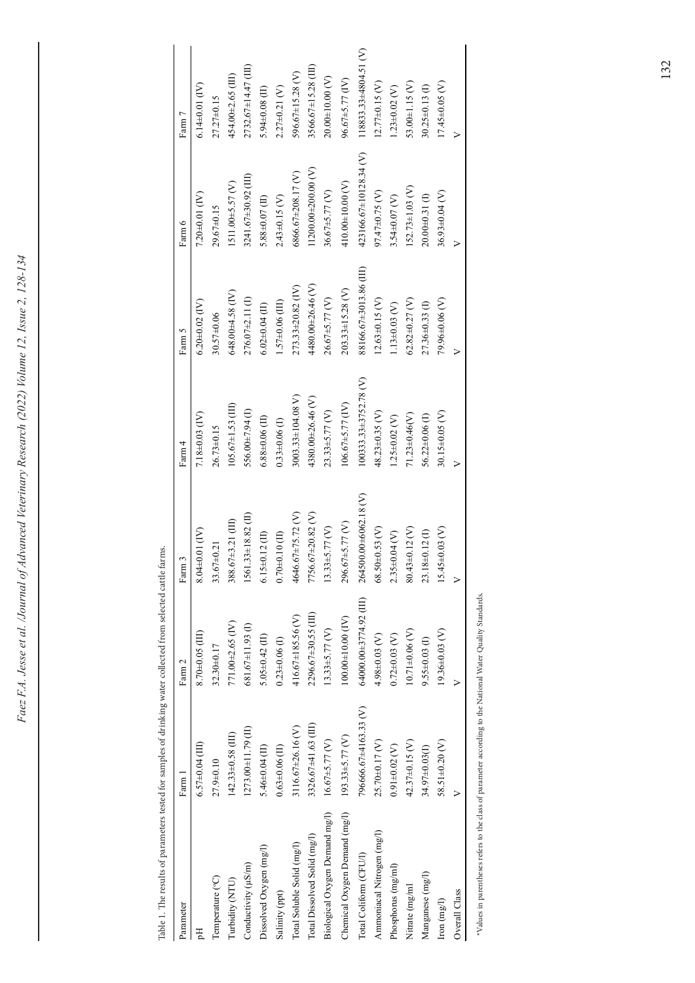Table 1. The results of parameters tested for samples of drinking water collected from selected cattle farms. selected cattle far ollected from ater mles of drinking stare tactad for  $\mathbf{a}$ Table 1 The

| Parameter                      | Farm 1                | Farm 2                         | Farm 3                 | Farm 4                    | Farm 5                 | Farm 6                    | Farm 7                    |
|--------------------------------|-----------------------|--------------------------------|------------------------|---------------------------|------------------------|---------------------------|---------------------------|
| 딩                              | $6.57\pm0.04$ (III)   | $8.70\pm0.05$ (III)            | $8.04\pm0.01$ (IV)     | 7.18±0.03 (IV)            | $6.20 + 0.02$ (IV)     | $7.20 + 0.01$ (IV)        | $6.14 \pm 0.01$ (IV)      |
| Temperature (°C)               | 27.9±0.10             | 32.30±0.17                     | $33.67 + 0.21$         | 26.73±0.15                | 30.57±0.06             | 29.67±0.15                | $27.27\pm0.15$            |
| Turbidity (NTU)                | $142.33\pm0.58$ (III) | 771.00±2.65 (IV)               | 388.67±3.21 (III)      | $105.67 \pm 1.53$ (III)   | $648.00 + 4.58$ (IV)   | 1511.00±5.57 (V)          | 454.00±2.65 (III)         |
| Conductivity (µS/m)            | 1273.00±11.79 (II)    | 681.67±11.93 (I)               | 1561.33±18.82 (II)     | 556.00±7.94 (I)           | 276.07±2.11 (I)        | 3241.67±30.92 (III)       | 2732.67±14.47 (III)       |
| Dissolved Oxygen (mg/l)        | $5.46 \pm 0.04$ (II)  | $5.05 \pm 0.42$ (II)           | $6.15 \pm 0.12$ (II)   | $6.88\pm0.06$ (II)        | $6.02\pm0.04$ (II)     | $5.88\pm0.07$ (II)        | 5.94±0.08 $(II)$          |
| Salinity (ppt)                 | $0.63 \pm 0.06$ (II)  | $0.23 + 0.06$ (I)              | $0.70 \pm 0.10$ (II)   | $0.33\pm0.06$ (I)         | $1.57\pm0.06$ (III)    | $2.43 + 0.15$ (V)         | $2.27\pm0.21$ (V)         |
| Total Soluble Solid (mg/l)     | 3116.67±26.16 (V)     | 416.67±185.56 (V)              | 4646.67±75.72 (V)      | 3003.33±104.08 V)         | 273.33±20.82 (IV)      | 6866.67±208.17(V)         | 596.67±15.28 (V)          |
| Total Dissolved Solid (mg/l)   | 3326.67±41.63 (III)   | 2296.67±30.55 (III)            | 7756.67±20.82 (V)      | 4380.00±26.46(V)          | 4480.00±26.46 (V)      | $11200.00\pm200.00$ (V)   | 3566.67±15.28 (III)       |
| Biological Oxygen Demand mg/l) | $16.67 \pm 5.77$ (V)  | $13.33\pm5.77$ (V)             | $13.33 + 5.77$ (V)     | $23.33\pm5.77$ (V)        | $26.67\pm5.77$ (V)     | 36.67±5.77 (V)            | $20.00\pm10.00$ (V)       |
| Chemical Oxygen Demand (mg/l)  | $193.33 \pm 5.77$ (V) | $100.00{\pm}10.00\;({\rm IV})$ | 296.67±5.77 (V)        | $106.67\pm5.77$ (IV)      | $203.33\pm15.28$ (V)   | 410.00 $\pm$ 10.00 (V)    | 96.67±5.77 (IV)           |
| Total Coliform (CFU/l)         | 796666.67±4163.33 (V) | 64000.00±3774.92 (III)         | 264500.00±6062.18 (V)  | 100333.33±3752.78 (V)     | 88166.67±3013.86 (III) | 423166.67±10128.34 (V)    | $118833.33\pm4804.51$ (V) |
| Ammoniacal Nitrogen (mg/l)     | 25.70±0.17 (V)        | 4.98±0.03 (V)                  | $68.50 \pm 0.53$ (V)   | 48.23±0.35 (V)            | $12.63\pm0.15$ (V)     | 97.47±0.75 (V)            | $12.77\pm0.15$ (V)        |
| Phosphorus (mg/ml)             | $0.91 \pm 0.02$ (V)   | $0.72 + 0.03$ (V)              | $2.35 \pm 0.04$ (V)    | $1.25 \pm 0.02$ (V)       | $1.13 + 0.03$ (V)      | $3.54 \pm 0.07$ (V)       | $1.23 + 0.02$ (V)         |
| Nitrate (mg/ml                 | 42.37±0.15 (V)        | $10.71 \pm 0.06$ (V)           | 80.43±0.12 (V)         | 71.23±0.46(V)             | $62.82 \pm 0.27$ (V)   | $152.73 \pm 1.03$ (V)     | $53.00 \pm 1.15$ (V)      |
| Manganese (mg/l)               | 34.97±0.03(I)         | $9.55 \pm 0.03$ (I)            | $8 + 0.12$ (I)<br>23.1 | 56.22±0.06 <sub>(I)</sub> | 27.36±0.33(I)          | 20.00±0.31 <sub>(I)</sub> | 30.25±0.13 (I)            |
| $\mbox{Iron}\ (\mbox{mg/l})$   | 58.51±0.20 $(V)$      | 19.36±0.03 (V)                 | $15.45 \pm 0.03$ (V)   | 30.15±0.05 (V)            | 79.96±0.06 (V)         | 36.93±0.04 (V)            | $17.45 \pm 0.05$ (V)      |
| Overall Class                  | >                     | >                              | $\triangleright$       | $\triangleright$          | $\triangleright$       | $\triangleright$          | $\triangleright$          |
|                                |                       |                                |                        |                           |                        |                           |                           |

\*Values in parentheses refers to the class of parameter according to the National Water Quality Standards. \*Values in parentheses refers to the class of parameter according to the National Water Quality Standards.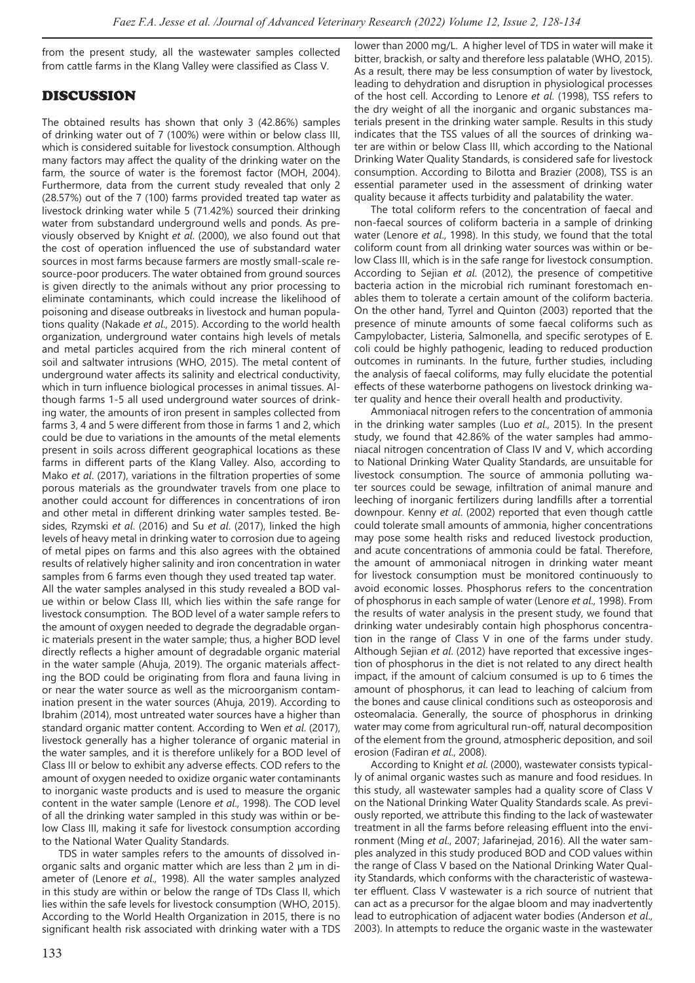from the present study, all the wastewater samples collected from cattle farms in the Klang Valley were classified as Class V.

### DISCUSSION

The obtained results has shown that only 3 (42.86%) samples of drinking water out of 7 (100%) were within or below class III, which is considered suitable for livestock consumption. Although many factors may affect the quality of the drinking water on the farm, the source of water is the foremost factor (MOH, 2004). Furthermore, data from the current study revealed that only 2 (28.57%) out of the 7 (100) farms provided treated tap water as livestock drinking water while 5 (71.42%) sourced their drinking water from substandard underground wells and ponds. As previously observed by Knight *et al*. (2000), we also found out that the cost of operation influenced the use of substandard water sources in most farms because farmers are mostly small-scale resource-poor producers. The water obtained from ground sources is given directly to the animals without any prior processing to eliminate contaminants, which could increase the likelihood of poisoning and disease outbreaks in livestock and human populations quality (Nakade *et al*., 2015). According to the world health organization, underground water contains high levels of metals and metal particles acquired from the rich mineral content of soil and saltwater intrusions (WHO, 2015). The metal content of underground water affects its salinity and electrical conductivity, which in turn influence biological processes in animal tissues. Although farms 1-5 all used underground water sources of drinking water, the amounts of iron present in samples collected from farms 3, 4 and 5 were different from those in farms 1 and 2, which could be due to variations in the amounts of the metal elements present in soils across different geographical locations as these farms in different parts of the Klang Valley. Also, according to Mako *et al*. (2017), variations in the filtration properties of some porous materials as the groundwater travels from one place to another could account for differences in concentrations of iron and other metal in different drinking water samples tested. Besides, Rzymski *et al*. (2016) and Su *et al*. (2017), linked the high levels of heavy metal in drinking water to corrosion due to ageing of metal pipes on farms and this also agrees with the obtained results of relatively higher salinity and iron concentration in water samples from 6 farms even though they used treated tap water. All the water samples analysed in this study revealed a BOD value within or below Class III, which lies within the safe range for livestock consumption. The BOD level of a water sample refers to the amount of oxygen needed to degrade the degradable organic materials present in the water sample; thus, a higher BOD level directly reflects a higher amount of degradable organic material in the water sample (Ahuja, 2019). The organic materials affecting the BOD could be originating from flora and fauna living in or near the water source as well as the microorganism contamination present in the water sources (Ahuja, 2019). According to Ibrahim (2014), most untreated water sources have a higher than standard organic matter content. According to Wen *et al*. (2017), livestock generally has a higher tolerance of organic material in the water samples, and it is therefore unlikely for a BOD level of Class III or below to exhibit any adverse effects. COD refers to the amount of oxygen needed to oxidize organic water contaminants to inorganic waste products and is used to measure the organic content in the water sample (Lenore *et al*., 1998). The COD level of all the drinking water sampled in this study was within or below Class III, making it safe for livestock consumption according to the National Water Quality Standards.

TDS in water samples refers to the amounts of dissolved inorganic salts and organic matter which are less than 2 µm in diameter of (Lenore *et al*., 1998). All the water samples analyzed in this study are within or below the range of TDs Class II, which lies within the safe levels for livestock consumption (WHO, 2015). According to the World Health Organization in 2015, there is no significant health risk associated with drinking water with a TDS

lower than 2000 mg/L. A higher level of TDS in water will make it bitter, brackish, or salty and therefore less palatable (WHO, 2015). As a result, there may be less consumption of water by livestock, leading to dehydration and disruption in physiological processes of the host cell. According to Lenore *et al*. (1998), TSS refers to the dry weight of all the inorganic and organic substances materials present in the drinking water sample. Results in this study indicates that the TSS values of all the sources of drinking water are within or below Class III, which according to the National Drinking Water Quality Standards, is considered safe for livestock consumption. According to Bilotta and Brazier (2008), TSS is an essential parameter used in the assessment of drinking water quality because it affects turbidity and palatability the water.

The total coliform refers to the concentration of faecal and non-faecal sources of coliform bacteria in a sample of drinking water (Lenore *et al*., 1998). In this study, we found that the total coliform count from all drinking water sources was within or below Class III, which is in the safe range for livestock consumption. According to Sejian *et al*. (2012), the presence of competitive bacteria action in the microbial rich ruminant forestomach enables them to tolerate a certain amount of the coliform bacteria. On the other hand, Tyrrel and Quinton (2003) reported that the presence of minute amounts of some faecal coliforms such as Campylobacter, Listeria, Salmonella, and specific serotypes of E. coli could be highly pathogenic, leading to reduced production outcomes in ruminants. In the future, further studies, including the analysis of faecal coliforms, may fully elucidate the potential effects of these waterborne pathogens on livestock drinking water quality and hence their overall health and productivity.

Ammoniacal nitrogen refers to the concentration of ammonia in the drinking water samples (Luo *et al*., 2015). In the present study, we found that 42.86% of the water samples had ammoniacal nitrogen concentration of Class IV and V, which according to National Drinking Water Quality Standards, are unsuitable for livestock consumption. The source of ammonia polluting water sources could be sewage, infiltration of animal manure and leeching of inorganic fertilizers during landfills after a torrential downpour. Kenny *et al*. (2002) reported that even though cattle could tolerate small amounts of ammonia, higher concentrations may pose some health risks and reduced livestock production, and acute concentrations of ammonia could be fatal. Therefore, the amount of ammoniacal nitrogen in drinking water meant for livestock consumption must be monitored continuously to avoid economic losses. Phosphorus refers to the concentration of phosphorus in each sample of water (Lenore *et al*., 1998). From the results of water analysis in the present study, we found that drinking water undesirably contain high phosphorus concentration in the range of Class V in one of the farms under study. Although Sejian *et al*. (2012) have reported that excessive ingestion of phosphorus in the diet is not related to any direct health impact, if the amount of calcium consumed is up to 6 times the amount of phosphorus, it can lead to leaching of calcium from the bones and cause clinical conditions such as osteoporosis and osteomalacia. Generally, the source of phosphorus in drinking water may come from agricultural run-off, natural decomposition of the element from the ground, atmospheric deposition, and soil erosion (Fadiran *et al*., 2008).

According to Knight *et al*. (2000), wastewater consists typically of animal organic wastes such as manure and food residues. In this study, all wastewater samples had a quality score of Class V on the National Drinking Water Quality Standards scale. As previously reported, we attribute this finding to the lack of wastewater treatment in all the farms before releasing effluent into the environment (Ming *et al*., 2007; Jafarinejad, 2016). All the water samples analyzed in this study produced BOD and COD values within the range of Class V based on the National Drinking Water Quality Standards, which conforms with the characteristic of wastewater effluent. Class V wastewater is a rich source of nutrient that can act as a precursor for the algae bloom and may inadvertently lead to eutrophication of adjacent water bodies (Anderson *et al*., 2003). In attempts to reduce the organic waste in the wastewater